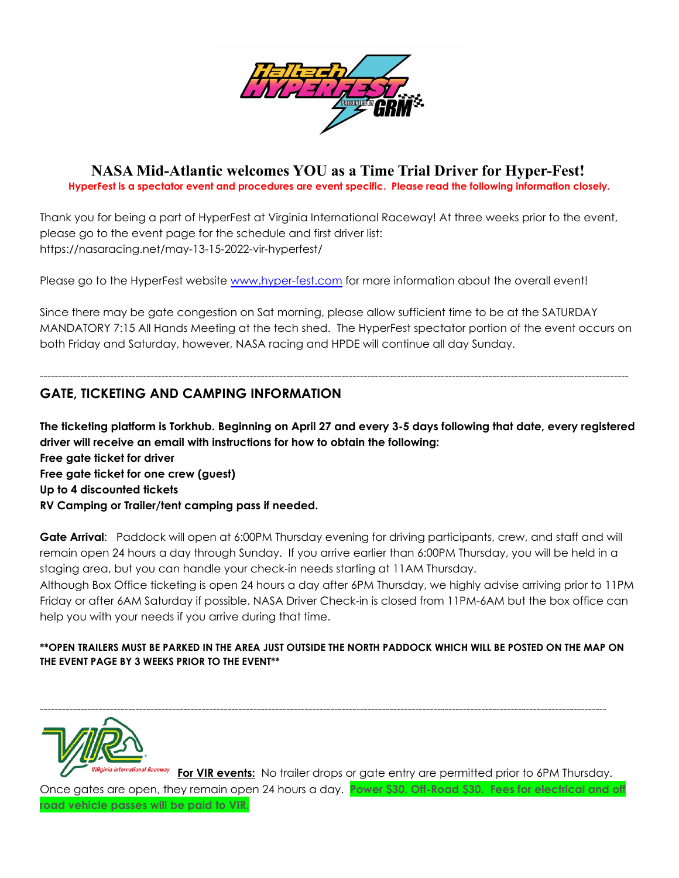

## **NASA Mid-Atlantic welcomes YOU as a Time Trial Driver for Hyper-Fest! HyperFest is a spectator event and procedures are event specific. Please read the following information closely.**

Thank you for being a part of HyperFest at Virginia International Raceway! At three weeks prior to the event, please go to the event page for the schedule and first driver list:

https://nasaracing.net/may-13-15-2022-vir-hyperfest/

Please go to the HyperFest website [www.hyper-fest.com](http://www.hyper-fest.com) for more information about the overall event!

Since there may be gate congestion on Sat morning, please allow sufficient time to be at the SATURDAY MANDATORY 7:15 All Hands Meeting at the tech shed. The HyperFest spectator portion of the event occurs on both Friday and Saturday, however, NASA racing and HPDE will continue all day Sunday.

----------------------------------------------------------------------------------------------------------------------------------------------------------------

## **GATE, TICKETING AND CAMPING INFORMATION**

The ticketing platform is Torkhub. Beginning on April 27 and every 3-5 days following that date, every registered **driver will receive an email with instructions for how to obtain the following:**

**Free gate ticket for driver Free gate ticket for one crew (guest) Up to 4 discounted tickets RV Camping or Trailer/tent camping pass if needed.**

**Gate Arrival**: Paddock will open at 6:00PM Thursday evening for driving participants, crew, and staff and will remain open 24 hours a day through Sunday. If you arrive earlier than 6:00PM Thursday, you will be held in a staging area, but you can handle your check-in needs starting at 11AM Thursday.

Although Box Office ticketing is open 24 hours a day after 6PM Thursday, we highly advise arriving prior to 11PM Friday or after 6AM Saturday if possible. NASA Driver Check-in is closed from 11PM-6AM but the box office can help you with your needs if you arrive during that time.

### **\*\*OPEN TRAILERS MUST BE PARKED IN THE AREA JUST OUTSIDE THE NORTH PADDOCK WHICH WILL BE POSTED ON THE MAP ON THE EVENT PAGE BY 3 WEEKS PRIOR TO THE EVENT\*\***

----------------------------------------------------------------------------------------------------------------------------------------------------------



**For VIR events:** No trailer drops or gate entry are permitted prior to 6PM Thursday. Once gates are open, they remain open 24 hours a day. **Power \$30, Off-Road \$30. Fees for electrical and off road vehicle passes will be paid to VIR.**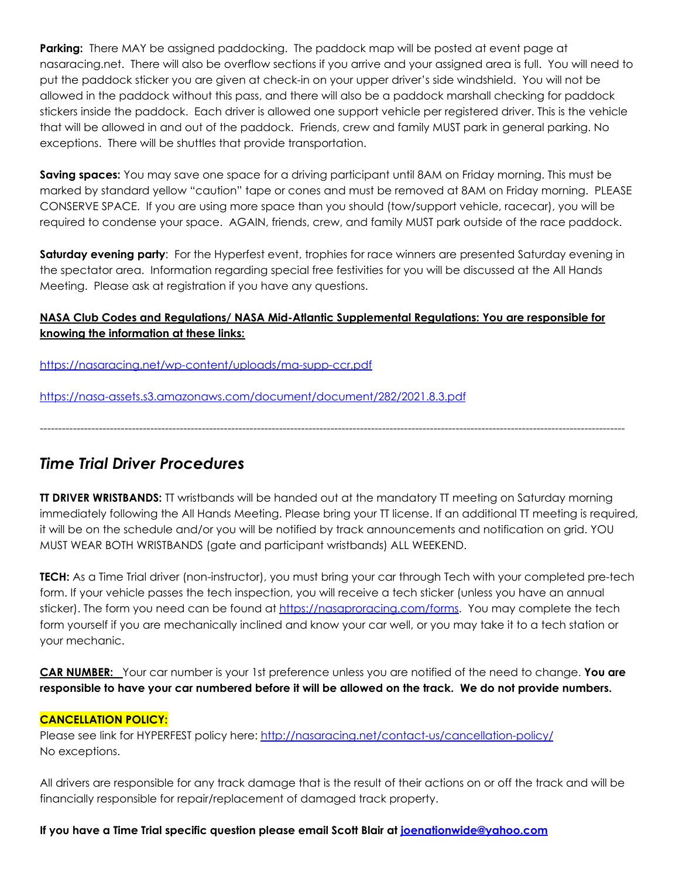**Parking:** There MAY be assigned paddocking. The paddock map will be posted at event page at nasaracing.net. There will also be overflow sections if you arrive and your assigned area is full. You will need to put the paddock sticker you are given at check-in on your upper driver's side windshield. You will not be allowed in the paddock without this pass, and there will also be a paddock marshall checking for paddock stickers inside the paddock. Each driver is allowed one support vehicle per registered driver. This is the vehicle that will be allowed in and out of the paddock. Friends, crew and family MUST park in general parking. No exceptions. There will be shuttles that provide transportation.

**Saving spaces:** You may save one space for a driving participant until 8AM on Friday morning. This must be marked by standard yellow "caution" tape or cones and must be removed at 8AM on Friday morning. PLEASE CONSERVE SPACE. If you are using more space than you should (tow/support vehicle, racecar), you will be required to condense your space. AGAIN, friends, crew, and family MUST park outside of the race paddock.

**Saturday evening party**: For the Hyperfest event, trophies for race winners are presented Saturday evening in the spectator area. Information regarding special free festivities for you will be discussed at the All Hands Meeting. Please ask at registration if you have any questions.

## **NASA Club Codes and Regulations/ NASA Mid-Atlantic Supplemental Regulations: You are responsible for knowing the information at these links:**

<https://nasaracing.net/wp-content/uploads/ma-supp-ccr.pdf>

<https://nasa-assets.s3.amazonaws.com/document/document/282/2021.8.3.pdf>

# *Time Trial Driver Procedures*

**TT DRIVER WRISTBANDS:** TT wristbands will be handed out at the mandatory TT meeting on Saturday morning immediately following the All Hands Meeting. Please bring your TT license. If an additional TT meeting is required, it will be on the schedule and/or you will be notified by track announcements and notification on grid. YOU MUST WEAR BOTH WRISTBANDS (gate and participant wristbands) ALL WEEKEND.

---------------------------------------------------------------------------------------------------------------------------------------------------------------

**TECH:** As a Time Trial driver (non-instructor), you must bring your car through Tech with your completed pre-tech form. If your vehicle passes the tech inspection, you will receive a tech sticker (unless you have an annual sticker). The form you need can be found at [https://nasaproracing.com/forms.](https://nasaproracing.com/forms) You may complete the tech form yourself if you are mechanically inclined and know your car well, or you may take it to a tech station or your mechanic.

**CAR NUMBER:** Your car number is your 1st preference unless you are notified of the need to change. **You are** responsible to have your car numbered before it will be allowed on the track. We do not provide numbers.

### **CANCELLATION POLICY:**

Please see link for HYPERFEST policy here: <http://nasaracing.net/contact-us/cancellation-policy/> No exceptions.

All drivers are responsible for any track damage that is the result of their actions on or off the track and will be financially responsible for repair/replacement of damaged track property.

### **If you have a Time Trial specific question please email Scott Blair at [joenationwide@yahoo.com](mailto:joenationwide@yahoo.com)**